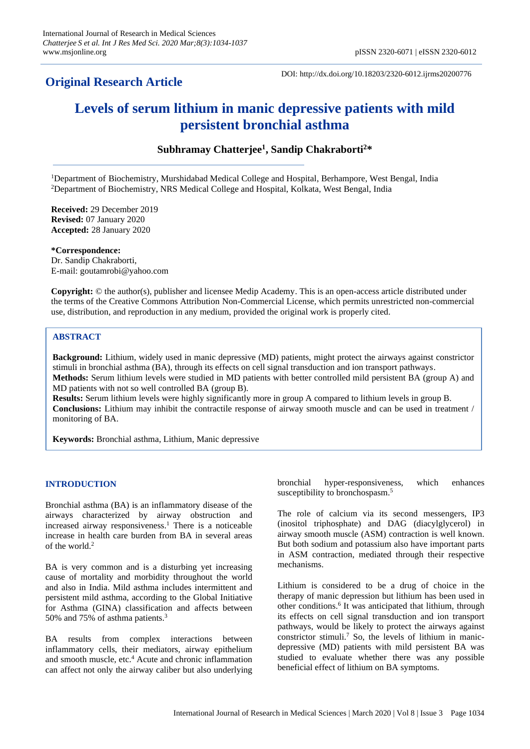# **Original Research Article**

DOI: http://dx.doi.org/10.18203/2320-6012.ijrms20200776

# **Levels of serum lithium in manic depressive patients with mild persistent bronchial asthma**

# **Subhramay Chatterjee<sup>1</sup> , Sandip Chakraborti<sup>2</sup>\***

<sup>1</sup>Department of Biochemistry, Murshidabad Medical College and Hospital, Berhampore, West Bengal, India <sup>2</sup>Department of Biochemistry, NRS Medical College and Hospital, Kolkata, West Bengal, India

**Received:** 29 December 2019 **Revised:** 07 January 2020 **Accepted:** 28 January 2020

**\*Correspondence:** Dr. Sandip Chakraborti, E-mail: goutamrobi@yahoo.com

**Copyright:** © the author(s), publisher and licensee Medip Academy. This is an open-access article distributed under the terms of the Creative Commons Attribution Non-Commercial License, which permits unrestricted non-commercial use, distribution, and reproduction in any medium, provided the original work is properly cited.

## **ABSTRACT**

**Background:** Lithium, widely used in manic depressive (MD) patients, might protect the airways against constrictor stimuli in bronchial asthma (BA), through its effects on cell signal transduction and ion transport pathways. **Methods:** Serum lithium levels were studied in MD patients with better controlled mild persistent BA (group A) and MD patients with not so well controlled BA (group B).

**Results:** Serum lithium levels were highly significantly more in group A compared to lithium levels in group B. **Conclusions:** Lithium may inhibit the contractile response of airway smooth muscle and can be used in treatment / monitoring of BA.

**Keywords:** Bronchial asthma, Lithium, Manic depressive

## **INTRODUCTION**

Bronchial asthma (BA) is an inflammatory disease of the airways characterized by airway obstruction and increased airway responsiveness. <sup>1</sup> There is a noticeable increase in health care burden from BA in several areas of the world. 2

BA is very common and is a disturbing yet increasing cause of mortality and morbidity throughout the world and also in India. Mild asthma includes intermittent and persistent mild asthma, according to the Global Initiative for Asthma (GINA) classification and affects between 50% and 75% of asthma patients. 3

BA results from complex interactions between inflammatory cells, their mediators, airway epithelium and smooth muscle, etc.<sup>4</sup> Acute and chronic inflammation can affect not only the airway caliber but also underlying

bronchial hyper-responsiveness, which enhances susceptibility to bronchospasm.<sup>5</sup>

The role of calcium via its second messengers, IP3 (inositol triphosphate) and DAG (diacylglycerol) in airway smooth muscle (ASM) contraction is well known. But both sodium and potassium also have important parts in ASM contraction, mediated through their respective mechanisms.

Lithium is considered to be a drug of choice in the therapy of manic depression but lithium has been used in other conditions.<sup>6</sup> It was anticipated that lithium, through its effects on cell signal transduction and ion transport pathways, would be likely to protect the airways against constrictor stimuli. <sup>7</sup> So, the levels of lithium in manicdepressive (MD) patients with mild persistent BA was studied to evaluate whether there was any possible beneficial effect of lithium on BA symptoms.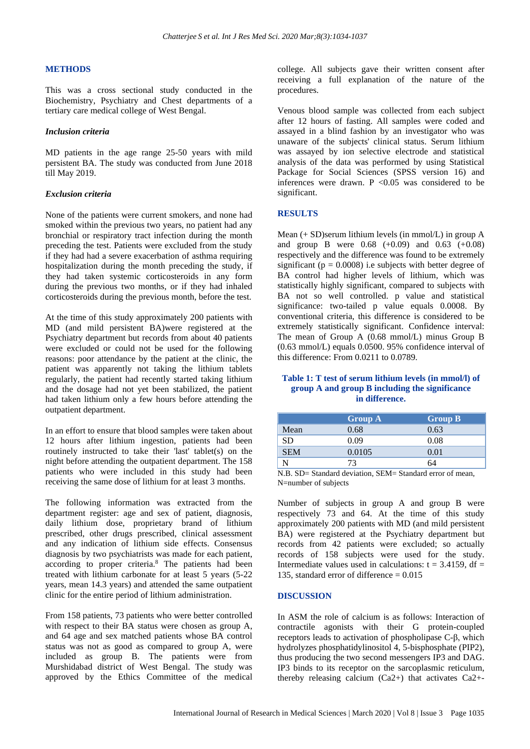#### **METHODS**

This was a cross sectional study conducted in the Biochemistry, Psychiatry and Chest departments of a tertiary care medical college of West Bengal.

#### *Inclusion criteria*

MD patients in the age range 25-50 years with mild persistent BA. The study was conducted from June 2018 till May 2019.

#### *Exclusion criteria*

None of the patients were current smokers, and none had smoked within the previous two years, no patient had any bronchial or respiratory tract infection during the month preceding the test. Patients were excluded from the study if they had had a severe exacerbation of asthma requiring hospitalization during the month preceding the study, if they had taken systemic corticosteroids in any form during the previous two months, or if they had inhaled corticosteroids during the previous month, before the test.

At the time of this study approximately 200 patients with MD (and mild persistent BA)were registered at the Psychiatry department but records from about 40 patients were excluded or could not be used for the following reasons: poor attendance by the patient at the clinic, the patient was apparently not taking the lithium tablets regularly, the patient had recently started taking lithium and the dosage had not yet been stabilized, the patient had taken lithium only a few hours before attending the outpatient department.

In an effort to ensure that blood samples were taken about 12 hours after lithium ingestion, patients had been routinely instructed to take their 'last' tablet(s) on the night before attending the outpatient department. The 158 patients who were included in this study had been receiving the same dose of lithium for at least 3 months.

The following information was extracted from the department register: age and sex of patient, diagnosis, daily lithium dose, proprietary brand of lithium prescribed, other drugs prescribed, clinical assessment and any indication of lithium side effects. Consensus diagnosis by two psychiatrists was made for each patient, according to proper criteria. <sup>8</sup> The patients had been treated with lithium carbonate for at least 5 years (5-22 years, mean 14.3 years) and attended the same outpatient clinic for the entire period of lithium administration.

From 158 patients, 73 patients who were better controlled with respect to their BA status were chosen as group A, and 64 age and sex matched patients whose BA control status was not as good as compared to group A, were included as group B. The patients were from Murshidabad district of West Bengal. The study was approved by the Ethics Committee of the medical college. All subjects gave their written consent after receiving a full explanation of the nature of the procedures.

Venous blood sample was collected from each subject after 12 hours of fasting. All samples were coded and assayed in a blind fashion by an investigator who was unaware of the subjects' clinical status. Serum lithium was assayed by ion selective electrode and statistical analysis of the data was performed by using Statistical Package for Social Sciences (SPSS version 16) and inferences were drawn.  $P \leq 0.05$  was considered to be significant.

#### **RESULTS**

Mean  $(+ SD)$ serum lithium levels (in mmol/L) in group A and group B were 0.68 (+0.09) and 0.63 (+0.08) respectively and the difference was found to be extremely significant ( $p = 0.0008$ ) i.e subjects with better degree of BA control had higher levels of lithium, which was statistically highly significant, compared to subjects with BA not so well controlled. p value and statistical significance: two-tailed p value equals 0.0008. By conventional criteria, this difference is considered to be extremely statistically significant. Confidence interval: The mean of Group A (0.68 mmol/L) minus Group B (0.63 mmol/L) equals 0.0500. 95% confidence interval of this difference: From 0.0211 to 0.0789.

# **Table 1: T test of serum lithium levels (in mmol/l) of group A and group B including the significance in difference.**

|            | <b>Group A</b> | <b>Group B</b> |
|------------|----------------|----------------|
| Mean       | 0.68           | 0.63           |
| <b>SD</b>  | 0.09           | 0.08           |
| <b>SEM</b> | 0.0105         | 0.01           |
|            |                | 64             |

N.B. SD= Standard deviation, SEM= Standard error of mean, N=number of subjects

Number of subjects in group A and group B were respectively 73 and 64. At the time of this study approximately 200 patients with MD (and mild persistent BA) were registered at the Psychiatry department but records from 42 patients were excluded; so actually records of 158 subjects were used for the study. Intermediate values used in calculations:  $t = 3.4159$ , df = 135, standard error of difference = 0.015

#### **DISCUSSION**

In ASM the role of calcium is as follows: Interaction of contractile agonists with their G protein-coupled receptors leads to activation of phospholipase C-β, which hydrolyzes phosphatidylinositol 4, 5-bisphosphate (PIP2), thus producing the two second messengers IP3 and DAG. IP3 binds to its receptor on the sarcoplasmic reticulum, thereby releasing calcium (Ca2+) that activates Ca2+-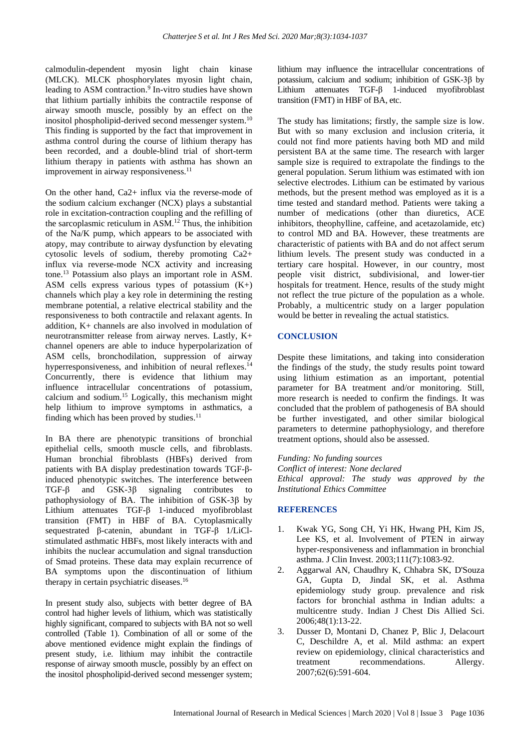calmodulin-dependent myosin light chain kinase (MLCK). MLCK phosphorylates myosin light chain, leading to ASM contraction. 9 In-vitro studies have shown that lithium partially inhibits the contractile response of airway smooth muscle, possibly by an effect on the inositol phospholipid-derived second messenger system. 10 This finding is supported by the fact that improvement in asthma control during the course of lithium therapy has been recorded, and a double-blind trial of short-term lithium therapy in patients with asthma has shown an improvement in airway responsiveness. 11

On the other hand, Ca2+ influx via the reverse-mode of the sodium calcium exchanger (NCX) plays a substantial role in excitation-contraction coupling and the refilling of the sarcoplasmic reticulum in ASM. <sup>12</sup> Thus, the inhibition of the Na/K pump, which appears to be associated with atopy, may contribute to airway dysfunction by elevating cytosolic levels of sodium, thereby promoting Ca2+ influx via reverse-mode NCX activity and increasing tone. <sup>13</sup> Potassium also plays an important role in ASM. ASM cells express various types of potassium  $(K+)$ channels which play a key role in determining the resting membrane potential, a relative electrical stability and the responsiveness to both contractile and relaxant agents. In addition, K+ channels are also involved in modulation of neurotransmitter release from airway nerves. Lastly, K+ channel openers are able to induce hyperpolarization of ASM cells, bronchodilation, suppression of airway hyperresponsiveness, and inhibition of neural reflexes.<sup>14</sup> Concurrently, there is evidence that lithium may influence intracellular concentrations of potassium, calcium and sodium. <sup>15</sup> Logically, this mechanism might help lithium to improve symptoms in asthmatics, a finding which has been proved by studies.<sup>11</sup>

In BA there are phenotypic transitions of bronchial epithelial cells, smooth muscle cells, and fibroblasts. Human bronchial fibroblasts (HBFs) derived from patients with BA display predestination towards TGF-βinduced phenotypic switches. The interference between TGF-β and GSK-3β signaling contributes to pathophysiology of BA. The inhibition of GSK-3β by Lithium attenuates TGF-β 1-induced myofibroblast transition (FMT) in HBF of BA. Cytoplasmically sequestrated β-catenin, abundant in TGF-β 1/LiClstimulated asthmatic HBFs, most likely interacts with and inhibits the nuclear accumulation and signal transduction of Smad proteins. These data may explain recurrence of BA symptoms upon the discontinuation of lithium therapy in certain psychiatric diseases. 16

In present study also, subjects with better degree of BA control had higher levels of lithium, which was statistically highly significant, compared to subjects with BA not so well controlled (Table 1). Combination of all or some of the above mentioned evidence might explain the findings of present study, i.e. lithium may inhibit the contractile response of airway smooth muscle, possibly by an effect on the inositol phospholipid-derived second messenger system; lithium may influence the intracellular concentrations of potassium, calcium and sodium; inhibition of GSK-3β by Lithium attenuates TGF-β 1-induced myofibroblast transition (FMT) in HBF of BA, etc.

The study has limitations; firstly, the sample size is low. But with so many exclusion and inclusion criteria, it could not find more patients having both MD and mild persistent BA at the same time. The research with larger sample size is required to extrapolate the findings to the general population. Serum lithium was estimated with ion selective electrodes. Lithium can be estimated by various methods, but the present method was employed as it is a time tested and standard method. Patients were taking a number of medications (other than diuretics, ACE inhibitors, theophylline, caffeine, and acetazolamide, etc) to control MD and BA. However, these treatments are characteristic of patients with BA and do not affect serum lithium levels. The present study was conducted in a tertiary care hospital. However, in our country, most people visit district, subdivisional, and lower-tier hospitals for treatment. Hence, results of the study might not reflect the true picture of the population as a whole. Probably, a multicentric study on a larger population would be better in revealing the actual statistics.

## **CONCLUSION**

Despite these limitations, and taking into consideration the findings of the study, the study results point toward using lithium estimation as an important, potential parameter for BA treatment and/or monitoring. Still, more research is needed to confirm the findings. It was concluded that the problem of pathogenesis of BA should be further investigated, and other similar biological parameters to determine pathophysiology, and therefore treatment options, should also be assessed.

*Funding: No funding sources Conflict of interest: None declared Ethical approval: The study was approved by the Institutional Ethics Committee*

#### **REFERENCES**

- 1. Kwak YG, Song CH, Yi HK, Hwang PH, Kim JS, Lee KS, et al. Involvement of PTEN in airway hyper-responsiveness and inflammation in bronchial asthma. J Clin Invest. 2003;111(7):1083-92.
- 2. Aggarwal AN, Chaudhry K, Chhabra SK, D'Souza GA, Gupta D, Jindal SK, et al. Asthma epidemiology study group. prevalence and risk factors for bronchial asthma in Indian adults: a multicentre study. Indian J Chest Dis Allied Sci. 2006;48(1):13-22.
- 3. Dusser D, Montani D, Chanez P, Blic J, Delacourt C, Deschildre A, et al. Mild asthma: an expert review on epidemiology, clinical characteristics and treatment recommendations. Allergy. 2007;62(6):591-604.